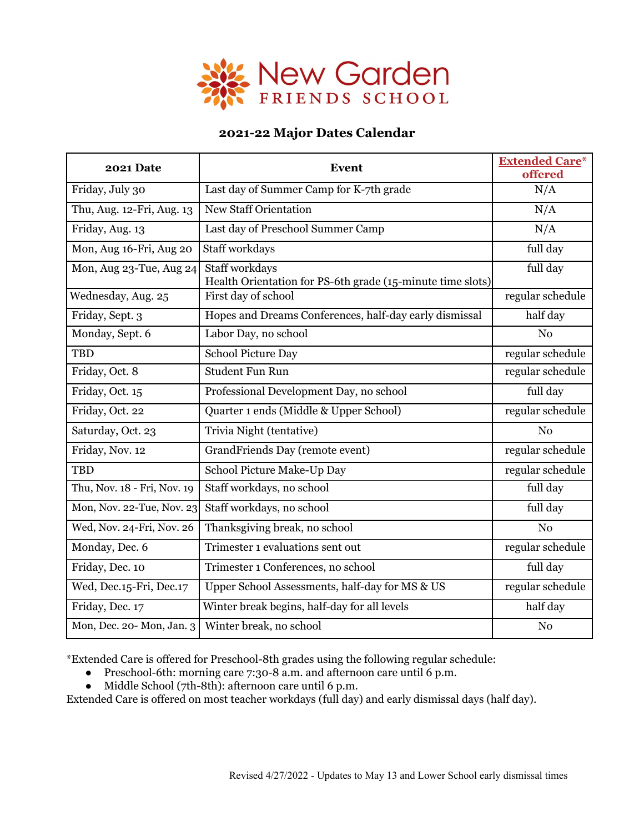

## **2021-22 Major Dates Calendar**

| <b>2021 Date</b>            | <b>Event</b>                                                                 | <b>Extended Care*</b><br>offered |
|-----------------------------|------------------------------------------------------------------------------|----------------------------------|
| Friday, July 30             | Last day of Summer Camp for K-7th grade                                      | N/A                              |
| Thu, Aug. 12-Fri, Aug. 13   | <b>New Staff Orientation</b>                                                 | N/A                              |
| Friday, Aug. 13             | Last day of Preschool Summer Camp                                            | N/A                              |
| Mon, Aug 16-Fri, Aug 20     | Staff workdays                                                               | full day                         |
| Mon, Aug 23-Tue, Aug 24     | Staff workdays<br>Health Orientation for PS-6th grade (15-minute time slots) | full day                         |
| Wednesday, Aug. 25          | First day of school                                                          | regular schedule                 |
| Friday, Sept. 3             | Hopes and Dreams Conferences, half-day early dismissal                       | half day                         |
| Monday, Sept. 6             | Labor Day, no school                                                         | N <sub>0</sub>                   |
| <b>TBD</b>                  | School Picture Day                                                           | regular schedule                 |
| Friday, Oct. 8              | <b>Student Fun Run</b>                                                       | regular schedule                 |
| Friday, Oct. 15             | Professional Development Day, no school                                      | full day                         |
| Friday, Oct. 22             | Quarter 1 ends (Middle & Upper School)                                       | regular schedule                 |
| Saturday, Oct. 23           | Trivia Night (tentative)                                                     | N <sub>o</sub>                   |
| Friday, Nov. 12             | GrandFriends Day (remote event)                                              | regular schedule                 |
| <b>TBD</b>                  | School Picture Make-Up Day                                                   | regular schedule                 |
| Thu, Nov. 18 - Fri, Nov. 19 | Staff workdays, no school                                                    | full day                         |
| Mon, Nov. 22-Tue, Nov. 23   | Staff workdays, no school                                                    | full day                         |
| Wed, Nov. 24-Fri, Nov. 26   | Thanksgiving break, no school                                                | No                               |
| Monday, Dec. 6              | Trimester 1 evaluations sent out                                             | regular schedule                 |
| Friday, Dec. 10             | Trimester 1 Conferences, no school                                           | full day                         |
| Wed, Dec.15-Fri, Dec.17     | Upper School Assessments, half-day for MS & US                               | regular schedule                 |
| Friday, Dec. 17             | Winter break begins, half-day for all levels                                 | half day                         |
| Mon, Dec. 20-Mon, Jan. 3    | Winter break, no school                                                      | N <sub>o</sub>                   |

\*Extended Care is offered for Preschool-8th grades using the following regular schedule:

- Preschool-6th: morning care 7:30-8 a.m. and afternoon care until 6 p.m.
- Middle School (7th-8th): afternoon care until 6 p.m.

Extended Care is offered on most teacher workdays (full day) and early dismissal days (half day).